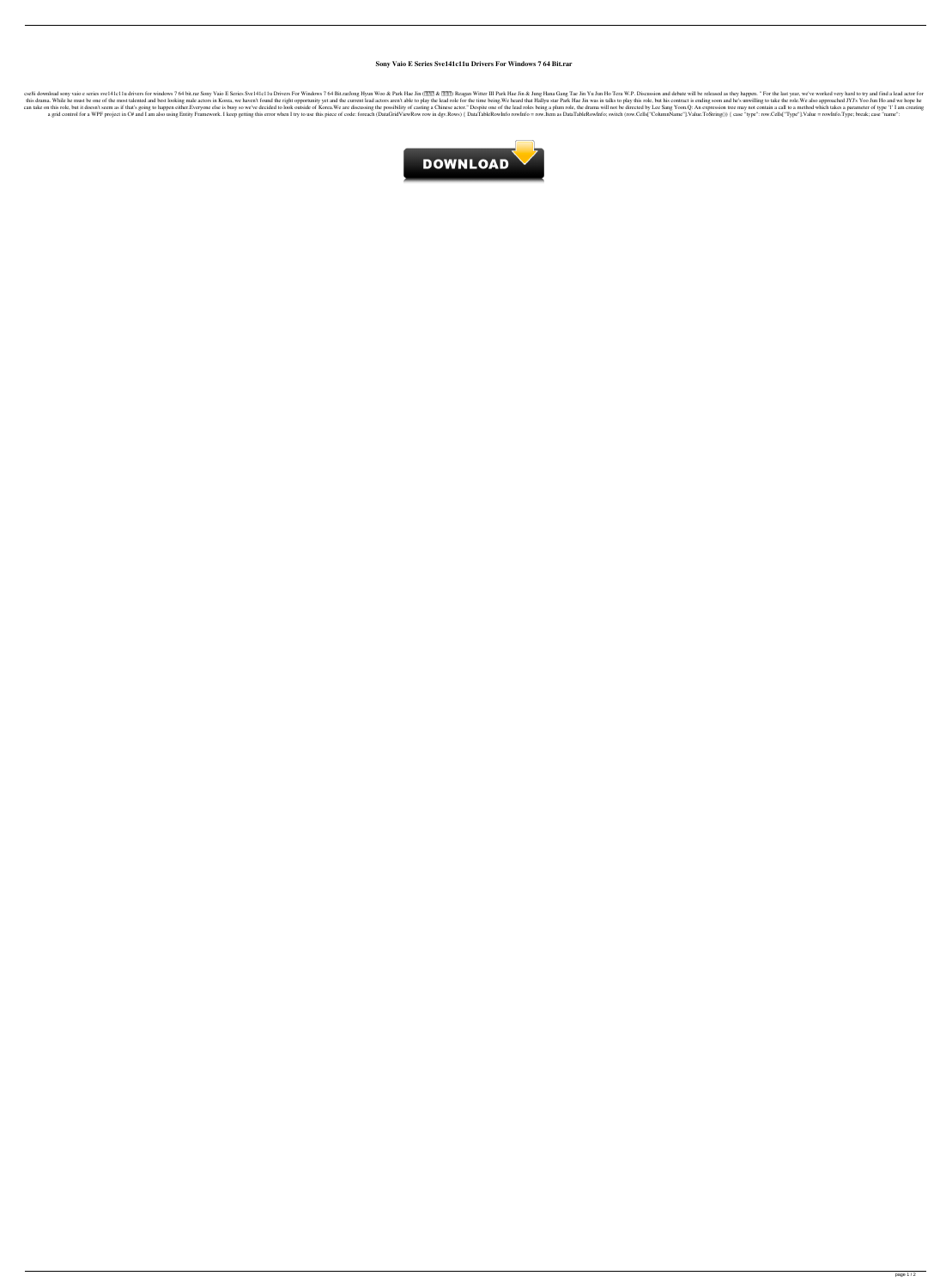## **Sony Vaio E Series Sve141c11u Drivers For Windows 7 64 Bit.rar**

cse8i download sony vaio e series sve141c11u drivers for windows 7 64 bit.rar Sony Vaio E Series Sve141c11u Drivers For Windows 7 64 Bit.rarJong Hyun Woo & Park Hae Jin (222) Reagan Witter III Park Hae Jin & Jung Hana Gang this drama. While he must be one of the most talented and best looking male actors in Korea, we haven't found the right opportunity yet and the current lead actors aren't able to play the lead role for the time being. We h can take on this role, but it doesn't seem as if that's going to happen either. Everyone else is busy so we've decided to look outside of Korea. We are discussing the possibility of casting a Chinese actor." Despite one of a grid control for a WPF project in C# and I am also using Entity Framework. I keep getting this error when I try to use this piece of code: foreach (DataGridViewRow row in dgv.Rows) { DataTableRowInfo rowInfo = row.Item a